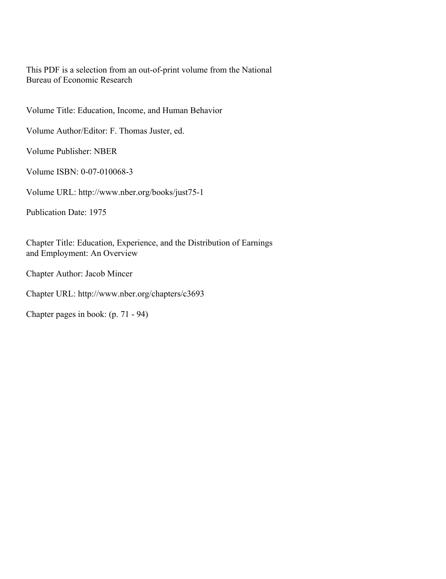This PDF is a selection from an out-of-print volume from the National Bureau of Economic Research

Volume Title: Education, Income, and Human Behavior

Volume Author/Editor: F. Thomas Juster, ed.

Volume Publisher: NBER

Volume ISBN: 0-07-010068-3

Volume URL: http://www.nber.org/books/just75-1

Publication Date: 1975

Chapter Title: Education, Experience, and the Distribution of Earnings and Employment: An Overview

Chapter Author: Jacob Mincer

Chapter URL: http://www.nber.org/chapters/c3693

Chapter pages in book: (p. 71 - 94)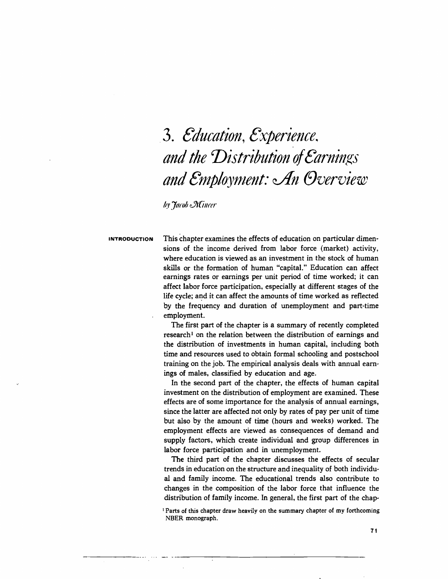## 3. *Education, Experience,* and the  $Distribution$  of Earnings and Employment:  $An$  Overview

by *Hacob* Mincer

INTRODUCTION This chapter examines the effects of education on particular dimensions of the income derived from labor force (market) activity, where education is viewed as an investment in the stock of human skills or the formation of human "capital." Education can affect earnings rates or earnings per unit period of time worked; it can affect labor force participation, especially at different stages of the life cycle; and it can affect the amounts of time worked as reflected by the frequency and duration of unemployment and part-time employment.

> The first part of the chapter is a summary of recently completed research' on the relation between the distribution of earnings and the distribution of investments in human capital, including both time and resources used to obtain formal schooling and postschool training on the job. The empirical analysis deals with annual earnings of males, classified by education and age.

> In the second part of the chapter, the effects of human capital investment on the distribution of employment are examined. These effects are of some importance for the analysis of annual earnings, since the latter are affected not only by rates of pay per unit of time but also by the amount of time (hours and weeks) worked. The employment effects are viewed as consequences of demand and supply factors, which create individual and group differences in labor force participation and in unemployment.

> The third part of the chapter discusses the effects of secular trends in education on the structure and inequality of both individual and family income. The educational trends also contribute to changes in the composition of the labor force that influence the distribution of family income. In general, the first part of the chap-

<sup>&#</sup>x27;Parts of this chapter draw heavily on the summary chapter of my forthcoming NBER monograph.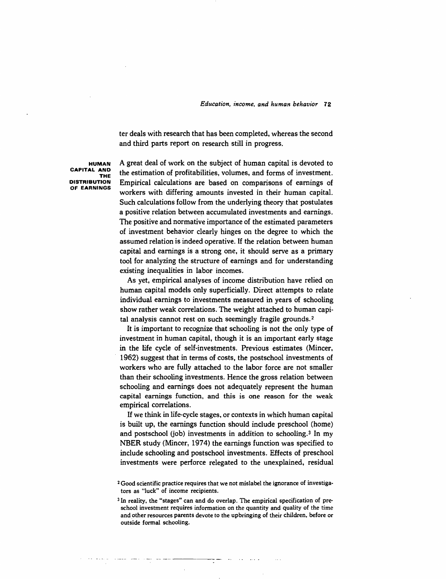ter deals with research that has been completed, whereas the second and third parts report on research still in progress.

HUMAN A great deal of work on the subject of human capital is devoted to<br>CAPITAL AND and activative function for the line of intervals CAPITAL AND the estimation of profitabilities, volumes, and forms of investment. HUMAN A great deal of work on the subject of human capital is devoted to<br>
THE the estimation of profitabilities, volumes, and forms of investment.<br>
DISTRIBUTION Empirical calculations are based on comparisons of earnings o Such calculations follow from the underlying theory that postulates a positive relation between accumulated investments and earnings. The positive and normative importance of the estimated parameters of investment behavior clearly hinges on the degree to which the assumed relation is indeed operative. If the relation between human capital and earnings is a strong one, it should serve as a primary tool for analyzing the structure of earnings and for understanding existing inequalities in labor incomes.

> As yet, empirical analyses of income distribution have relied on human capital models only superficially. Direct attempts to relate individual earnings to investments measured in years of schooling show rather weak correlations. The weight attached to human capital analysis cannot rest on such seemingly fragile grounds.2

> It is important to recognize that schooling is not the only type of investment in human capital, though it is an important early stage in the life cycle of self-investments. Previous estimates (Mincer, 1962) suggest that in terms of costs, the postschool investments of workers who are fully attached to the labor force are not smaller than their schooling investments. Hence the gross relation between schooling and earnings does not adequately represent the human capital earnings function, and this is one reason for the weak empirical correlations.

> If we think in life-cycle stages, or contexts in which human capital is built up, the earnings function should include preschool (home) and postschool (job) investments in addition to schooling.3 In my NBER study (Mincer, 1974) the earnings function was specified to include schooling and postschool investments. Effects of preschool investments were perforce relegated to the unexplained, residual

<sup>&</sup>lt;sup>2</sup> Good scientific practice requires that we not mislabel the ignorance of investigators as "luck" of income recipients.

<sup>&</sup>lt;sup>3</sup> In reality, the "stages" can and do overlap. The empirical specification of preschool investment requires information on the quantity and quality of the time and other resources parents devote to the upbringing of their children, before or outside formal schooling.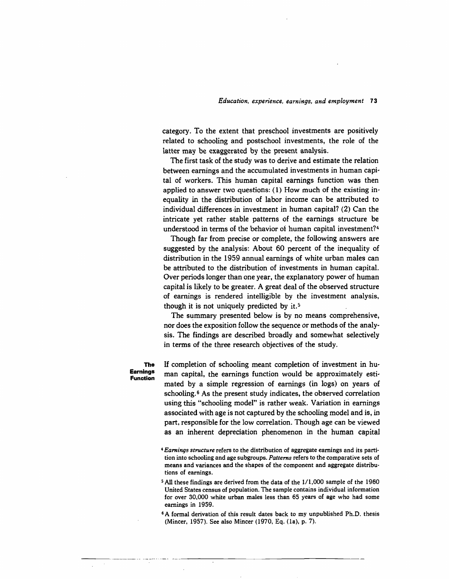category. To the extent that preschool investments are positively related to schooling and postschool investments, the role of the latter may be exaggerated by the present analysis.

The first task of the study was to derive and estimate the relation between earnings and the accumulated investments in human capital of workers. This human capital earnings function was then applied to answer two questions: (1) How much of the existing inequality in the distribution of labor income can be attributed to individual differences in investment in human capital? (2) Can the intricate yet rather stable patterns of the earnings structure be understood in terms of the behavior of human capital investment?4

Though far from precise or complete, the following answers are suggested by the analysis: About 60 percent of the inequality of distribution in the 1959 annual earnings of white urban males can be attributed to the distribution of investments in human capital. Over periods longer than one year, the explanatory power of human capital is likely to be greater. A great deal of the observed structure of earnings is rendered intelligible by the investment analysis, though it is not uniquely predicted by it.<sup>5</sup>

The summary presented below is by no means comprehensive, nor does the exposition follow the sequence or methods of the analysis. The findings are described broadly and somewhat selectively in terms of the three research objectives of the study.

**Function** 

The If completion of schooling meant completion of investment in hu-<br>Earnings mean contial the comings function would be approximately equiman capital, the earnings function would be approximately estimated by a simple regression of earnings (in logs) on years of schooling.<sup>6</sup> As the present study indicates, the observed correlation using this "schooling model" is rather weak. Variation in earnings associated with age is not captured by the schooling model and is, in part, responsible for the low correlation. Though age can be viewed as an inherent depreciation phenomenon in the human capital

- 4Earnings structure refers to the distribution of aggregate earnings and its pattition into schooling and age subgroups. Patterns refers to the comparative sets of means and variances and the shapes of the component and aggregate distributions of earnings.
- 5A11 these findings are derived from the data of the 1/1,000 sample of the 1960 United States census of population. The sample contains individual information for over 30,000 white urban males less than 65 years of age who had some earnings in 1959.
- 6A formal derivation of this result dates back to my unpublished Ph.D. thesis (Mincer, 1957). See also Mincer (1970, Eq. (la), p. 7).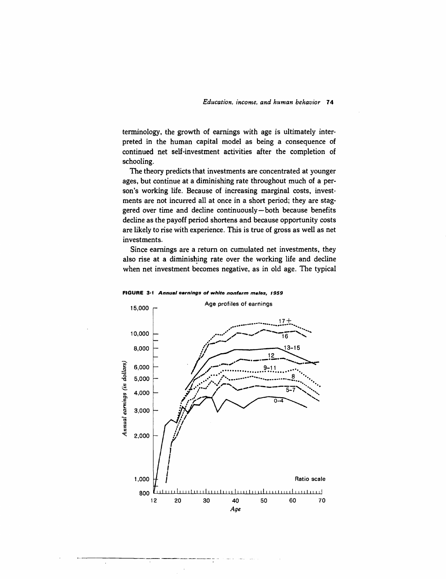terminology, the growth of earnings with age is ultimately interpreted in the human capital model as being a consequence of continued net self-investment activities after the completion of schooling.

The theory predicts that investments are concentrated at younger ages, but continue at a diminishing rate throughout much of a person's working life. Because of increasing marginal costs, investments are not incurred all at once in a short period; they are staggered over time and decline continuously —both because benefits decline as the payoff period shortens and because opportunity costs are likely to rise with experience. This is true of gross as well as net investments.

Since earnings are a return on cumulated net investments, they also rise at a diminishing rate over the working life and decline when net investment becomes negative, as in old age. The typical



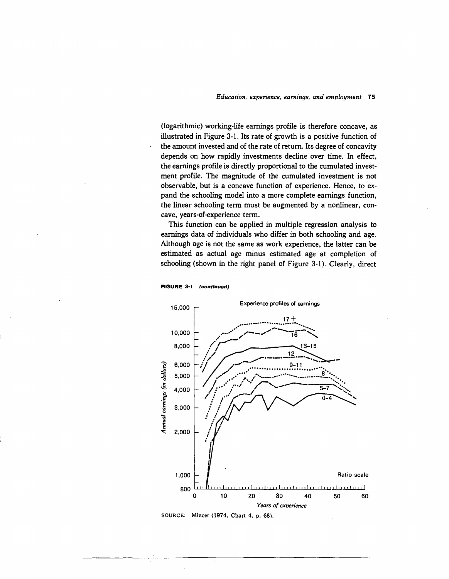(logarithmic) working-life earnings profile is therefore concave, as illustrated in Figure 3-1. Its rate of growth is a positive function of the amount invested and of the rate of return. Its degree of concavity depends on how rapidly investments decline over time. In effect, the earnings profile is directly proportional to the cumulated investment profile. The magnitude of the cumulated investment is not observable, but is a concave function of experience. Hence, to expand the schooling model into a more complete earnings function, the linear schooling term must be augmented by a nonlinear, concave, years-of-experience term.

This function can be applied in multiple regression analysis to earnings data of individuals who differ in both schooling and age. Although age is not the same as work experience, the latter can be estimated as actual age minus estimated age at completion of schooling (shown in the right panel of Figure 3-1). Clearly, direct



FIGURE 3.1 (contInued)

SOURCE: Mincer (1974, Chart 4. p. 68).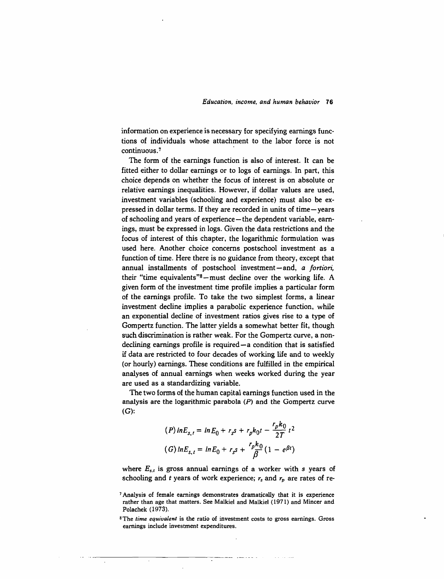information on experience is necessary for specifying earnings functions of individuals whose attachment to the labor force is not continuous.<sup>7</sup>

The form of the earnings function is also of interest. It can be fitted either to dollar earnings or to logs of earnings. In part, this choice depends on whether the focus of interest is on absolute or relative earnings inequalities. However, if dollar values are used, investment variables (schooling and experience) must also be expressed in dollar terms. If they are recorded in units of time—years of schooling and years of experience — the dependent variable, earnings, must be expressed in logs. Given the data restrictions and the focus of interest of this chapter, the logarithmic formulation was used here. Another choice concerns postschool investment as a function of time. Here there is no guidance from theory, except that annual installments of postschool investment—and, a fortiori, their "time equivalents"8—must decline over the working life. A given form of the investment time profile implies a particular form of the earnings profile. To take the two simplest forms, a linear investment decline implies a parabolic experience function, while an exponential decline of investment ratios gives rise to a type of Gompertz function. The latter yields a somewhat better fit, though such discrimination is rather weak. For the Gompertz curve, a nondeclining earnings profile is required —a condition that is satisfied if data are restricted to four decades of working life and to weekly (or hourly) earnings. These conditions are fulfilled in the empirical analyses of annual earnings when weeks worked during the year are used as a standardizing variable.

The two forms of the human capital earnings function used in the analysis are the logarithmic parabola  $(P)$  and the Gompertz curve (G):

$$
(P) lnE_{s,t} = ln E_0 + r_s s + r_p k_0 t - \frac{r_p k_0}{2T} t^2
$$
  

$$
(G) lnE_{s,t} = ln E_0 + r_s s + \frac{r_p k_0}{\beta} (1 - e^{\beta t})
$$

where  $E_{s,t}$  is gross annual earnings of a worker with s years of schooling and t years of work experience;  $r_s$  and  $r_p$  are rates of re-

<sup>7</sup>Analysis of female earnings demonstrates dramatically that it is experience rather than age that matters. See Malkiel and Malkiel (1971) and Mincer and Polachek (1973).

 $8$ The *time equivalent* is the ratio of investment costs to gross earnings. Gross earnings include investment expenditures.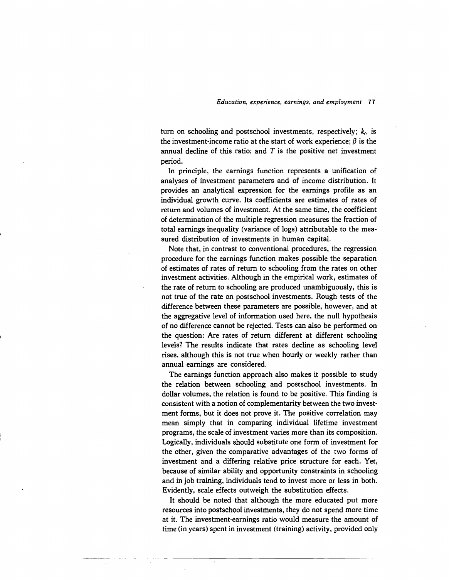turn on schooling and postschool investments, respectively;  $k_0$  is the investment-income ratio at the start of work experience;  $\beta$  is the annual decline of this ratio; and  $T$  is the positive net investment period.

In principle, the earnings function represents a unification of analyses of investment parameters and of income distribution. It provides an analytical expression for the earnings profile as an individual growth curve. Its coefficients are estimates of rates of return and volumes of investment. At the same time, the coefficient of determination of the multiple regression measures the fraction of total earnings inequality (variance of logs) attributable to the measured distribution of investments in human capital.

Note that, in contrast to conventional procedures, the regression procedure for the earnings function makes possible the separation of estimates of rates of return to schooling from the rates on other investment activities. Although in the empirical work, estimates of the rate of return to schooling are produced unambiguously, this is not true of the rate on postschool investments. Rough tests of the difference between these parameters are possible, however, and at the aggregative level of information used here, the null hypothesis of no difference cannot be rejected. Tests can also be performed on the question: Are rates of return different at different schooling levels? The results indicate that rates decline as schooling level rises, although this is not true when hourly or weekly rather than annual earnings are considered.

The earnings function approach also makes it possible to study the relation between schooling and postschool investments. In dollar volumes, the relation is found to be positive. This finding is consistent with a notion of complementarity between the two investment forms, but it does not prove it. The positive correlation may mean simply that in comparing individual lifetime investment programs, the scale of investment varies more than its composition. Logically, individuals should substitute one form of investment for the other, given the comparative advantages of the two forms of investment and a differing relative price structure for each. Yet, because of similar ability and opportunity constraints in schooling and in job training, individuals tend to invest more or less in both. Evidently, scale effects outweigh the substitution effects.

It should be noted that although the more educated put more resources into postschool investments, they do not spend more time at it. The investment-earnings ratio would measure the amount of time (in years) spent in investment (training) activity, provided only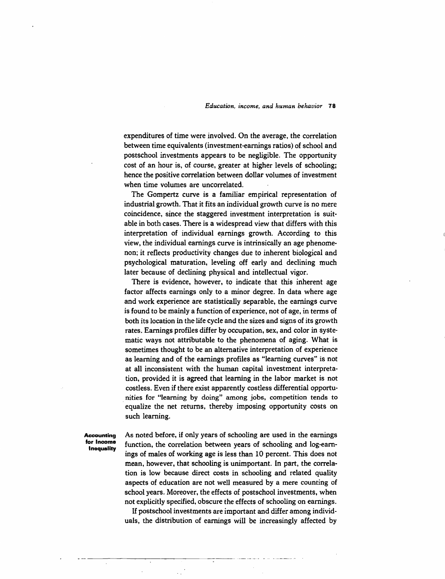expenditures of time were involved. On the average, the correlation between time equivalents (investment-earnings ratios) of school and postschool investments appears to be negligible. The opportunity cost of an hour is, of course, greater at higher levels of schooling; hence the positive correlation between dollar volumes of investment when time volumes are uncorrelated.

The Gompertz curve is a familiar empirical representation of industrial growth. That it fits an individual growth curve is no mere coincidence, since the staggered investment interpretation is suitable in both cases. There is a widespread view that differs with this interpretation of individual earnings growth. According to this view, the individual earnings curve is intrinsically an age phenomenon; it reflects productivity changes due to inherent biological and psychological maturation, leveling off early and declining much later because of declining physical and intellectual vigor.

There is evidence, however, to indicate that this inherent age factor affects earnings only to a minor degree. In data where age and work experience are statistically separable, the earnings curve is found to be mainly a function of experience, not of age, in terms of both its location in the life cycle and the sizes and signs of its growth rates. Earnings profiles differ by occupation, sex, and color in systematic ways not attributable to the phenomena of aging. What is sometimes thought to be an alternative interpretation of experience as learning and of the earnings profiles as "learning curves" is not at all inconsistent with the human capital investment interpretation, provided it is agreed that learning in the labor market is not costless. Even if there exist apparently costless differential opportunities for "learning by doing" among jobs, competition tends to equalize the net returns, thereby imposing opportunity costs on such learning.

Accounting As noted before, if only years of schooling are used in the earnings for Income function, the correlation between years of schooling and log-earnings of males of working age is less than 10 percent. This does not mean, however, that schooling is unimportant. In part, the correlation is low because direct costs in schooling and related quality aspects of education are not well measured by a mere counting of school years. Moreover, the effects of postschool investments, when not explicitly specified, obscure the effects of schooling on earnings.

> If postschool investments are important and differ among individuals, the distribution of earnings will be increasingly affected by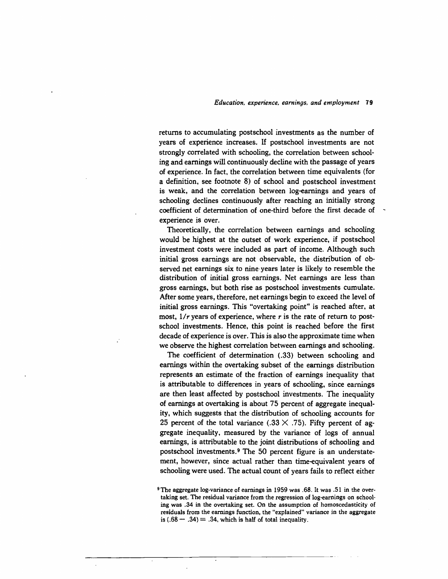returns to accumulating postschool investments as the number of years of experience increases. If postschool investments are not strongly correlated with schooling, the correlation between schooling and earnings will continuously decline with the passage of years of experience. In fact, the correlation between time equivalents (for a definition, see footnote 8) of school and postschool investment is weak, and the correlation between log-earnings and years of schooling declines continuously after reaching an initially strong coefficient of determination of one-third before the first decade of experience is over.

Theoretically, the correlation between earnings and schooling would be highest at the outset of work experience, if postschool investment costs were included as part of income. Although such initial gross earnings are not observable, the distribution of observed net earnings six to nine years later is likely to resemble the distribution of initial gross earnings. Net earnings are less than gross earnings, but both rise as postschool investments cumulate. After some years, therefore, net earnings begin to exceed the level of initial gross earnings. This "overtaking point" is reached after, at most,  $1/r$  years of experience, where r is the rate of return to postschool investments. Hence, this point is reached before the first decade of experience is over. This is also the approximate time when we observe the highest correlation between earnings and schooling.

The coefficient of determination (.33) between schooling and earnings within the overtaking subset of the earnings distribution represents an estimate of the fraction of earnings inequality that is attributable to differences in years of schooling, since earnings are then least affected by postschool investments. The inequality of earnings at overtaking is about 75 percent of aggregate inequality, which suggests that the distribution of schooling accounts for 25 percent of the total variance (.33  $\times$  .75). Fifty percent of aggregate inequality, measured by the variance of logs of annual earnings, is attributable to the joint distributions of schooling and postschool investments.9 The 50 percent figure is an understatement, however, since actual rather than time-equivalent years of schooling were used. The actual count of years fails to reflect either

<sup>&</sup>lt;sup>9</sup>The aggregate log-variance of earnings in 1959 was .68. It was .51 in the overtaking set. The residual variance from the regression of log-earnings on schooling was .34 in the overtaking set. On the assumption of homoscedasticity of residuals from the earnings function, the "explained" variance in the aggregate is  $(.68 - .34) = .34$ , which is half of total inequality.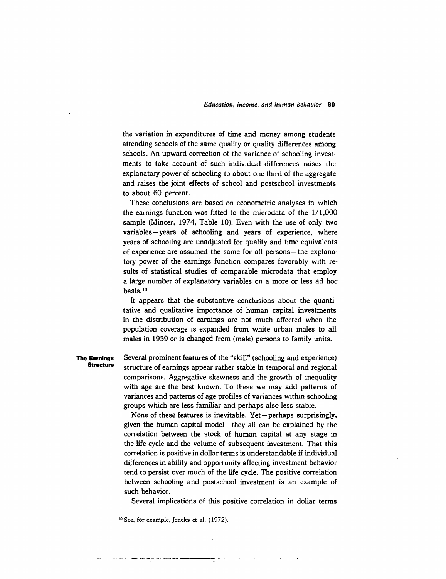the variation in expenditures of time and money among students attending schools of the same quality or quality differences among schools. An upward correction of the variance of schooling investments to take account of such individual differences raises the explanatory power of schooling to about one-third of the aggregate and raises the joint effects of school and postschool investments to about 60 percent.

These conclusions are based on econometric analyses in which the earnings function was fitted to the microdata of the 1/1,000 sample (Mincer, 1974, Table 10). Even with the use of only two variables—years of schooling and years of experience, where years of schooling are unadjusted for quality and time equivalents of experience are assumed the same for all persons — the explanatory power of the earnings function compares favorably with resuits of statistical studies of comparable microdata that employ a large number of explanatory variables on a more or less ad hoc basis.'°

It appears that the substantive conclusions about the quantitative and qualitative importance of human capital investments in the distribution of earnings are not much affected when the population coverage is expanded from white urban males to all males in 1959 or is changed from (male) persons to family units.

The Earnings Several prominent features of the "skill" (schooling and experience) structure of earnings appear rather stable in temporal and regional comparisons. Aggregative skewness and the growth of inequality with age are the best known. To these we may add patterns of variances and patterns of age profiles of variances within schooling groups which are less familiar and perhaps also less stable.

> None of these features is inevitable. Yet—perhaps surprisingly, given the human capital model—they all can be explained by the correlation between the stock of human capital at any stage in the life cycle and the volume of subsequent investment. That this correlation is positive in dollar terms is understandable if individual differences in ability and opportunity affecting investment behavior tend to persist over much of the life cycle. The positive correlation between schooling and postschool investment is an example of such behavior.

Several implications of this positive correlation in dollar terms

<sup>10</sup> See, for example, Jencks et al. (1972).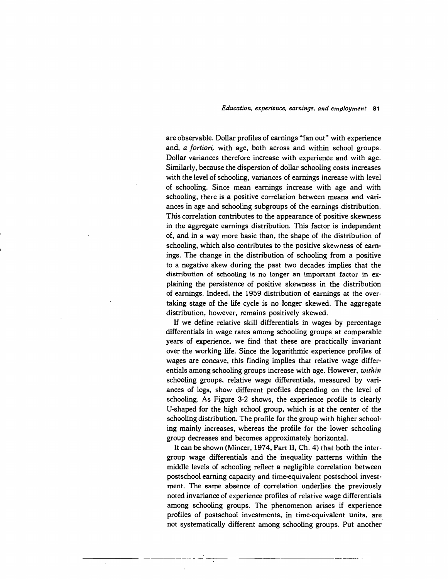are observable. Dollar profiles of earnings "fan out" with experience and, a fortiori, with age, both across and within school groups. Dollar variances therefore increase with experience and with age. Similarly, because the dispersion of dollar schooling costs increases with the level of schooling, variances of earnings increase with level of schooling. Since mean earnings increase with age and with schooling, there is a positive correlation between means and variances in age and schooling subgroups of the earnings distribution. This correlation contributes to the appearance of positive skewness in the aggregate earnings distribution. This factor is independent of, and in a way more basic than, the shape of the distribution of schooling, which also contributes to the positive skewness of earnings. The change in the distribution of schooling from a positive to a negative skew during the past two decades implies that the distribution of schooling is no longer an important factor in explaining the persistence of positive skewness in the distribution of earnings. Indeed, the 1959 distribution of earnings at the overtaking stage of the life cycle is no longer skewed. The aggregate distribution, however, remains positively skewed.

If we define relative skill differentials in wages by percentage differentials in wage rates among schooling groups at comparable years of experience, we find that these are practically invariant over the working life. Since the logarithmic experience profiles of wages are concave, this finding implies that relative wage differentials among schooling groups increase with age. However, within schooling groups, relative wage differentials, measured by variances of logs, show different profiles depending on the level of schooling. As Figure 3-2 shows, the experience profile is clearly U-shaped for the high school group, which is at the center of the schooling distribution. The profile for the group with higher schooling mainly increases, whereas the profile for the lower schooling group decreases and becomes approximately horizontal.

It can be shown (Mincer, 1974, Part II, Ch. 4) that both the intergroup wage differentials and the inequality patterns within the middle levels of schooling reflect a negligible correlation between postschool earning capacity and time-equivalent postschool investment. The same absence of correlation underlies the previously noted invariance of experience profiles of relative wage differentials among schooling groups. The phenomenon arises if experience profiles of postschool investments, in time-equivalent units, are not systematically different among schooling groups. Put another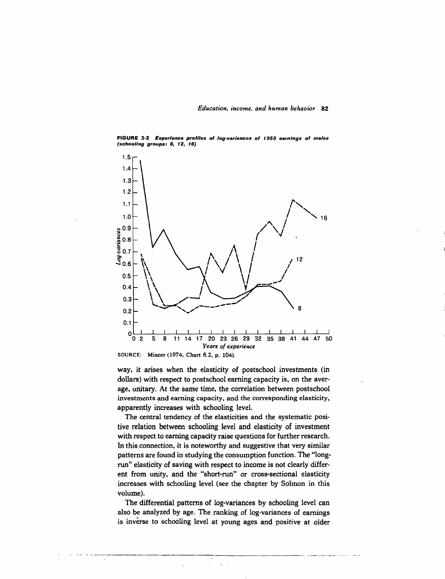



SOURCE: Mincer (1974, Chart 6.2, p. 104).

way, it arises when the elasticity of postschool investments (in dollars) with respect to postschool earning capacity is, on the average, unitary. At the same time, the correlation between postschool investments and earning capacity, and the corresponding elasticity, apparently increases with schooling level.

The central tendency of the elasticities and the systematic positive relation between schooling level and elasticity of investment with respect to earning capacity raise questions for further research. In this connection, it is noteworthy and suggestive that very similar patterns are found in studying the consumption function. The "longrun" elasticity of saving with respect to income is not clearly different from unity, and the "short-run" or cross-sectional elasticity increases with schooling level (see the chapter by Solmon in this volume).

The differential patterns of log-variances by schooling level can also be analyzed by age. The ranking of log-variances of earnings is inverse to schooling level at young ages and positive at older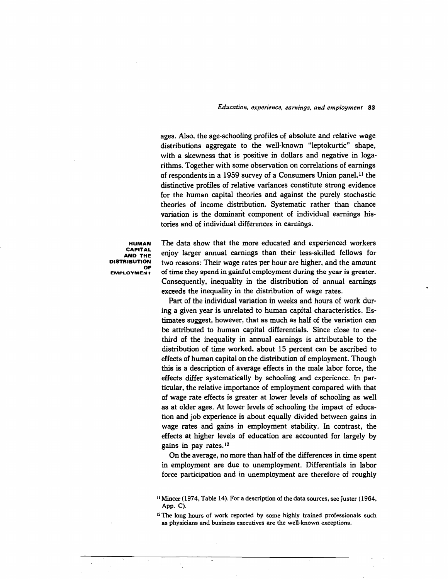ages. Also, the age-schooling profiles of absolute and relative wage distributions aggregate to the well-known "leptokurtic" shape, with a skewness that is positive in dollars and negative in logarithms. Together with some observation on correlations of earnings of respondents in a 1959 survey of a Consumers Union panel,'1 the distinctive profiles of relative variances constitute strong evidence for the human capital theories and against the purely stochastic theories of income distribution. Systematic rather than chance variation is the dominant component of individual earnings histories and of individual differences in earnings.

**AND THE** 

HUMAN The data show that the more educated and experienced workers enjoy larger annual earnings than their less-skilled fellows for DISTRIBUTION two reasons: Their wage rates per hour are higher, and the amount EMPLOYMENT oftime they spend in gainful employment during the year is greater. Consequently, inequality in the distribution of annual earnings exceeds the inequality in the distribution of wage rates.

> Part of the individual variation in weeks and hours of work during a given year is unrelated to human capital characteristics. Estimates suggest, however, that as much as half of the variation can be attributed to human capital differentials. Since close to onethird of the inequality in annual earnings is attributable to the distribution of time worked, about 15 percent can be ascribed to effects of human capital on the distribution of employment. Though this is a description of average effects in the male labor force, the effects differ systematically by schooling and experience. In particular, the relative importance of employment compared with that of wage rate effects is greater at lower levels of schooling as well as at older ages. At lower levels of schooling the impact of education and job experience is about equally divided between gains in wage rates and gains in employment stability. In contrast, the effects at higher levels of education are accounted for largely by gains in pay rates.<sup>12</sup>

> On the average, no more than half of the differences in time spent in employment are due to unemployment. Differentials in labor force participation and in unemployment are therefore of roughly

<sup>&</sup>lt;sup>11</sup> Mincer (1974, Table 14). For a description of the data sources, see Juster (1964, App. C).

 $12$  The long hours of work reported by some highly trained professionals such as physicians and business executives are the well-known exceptions.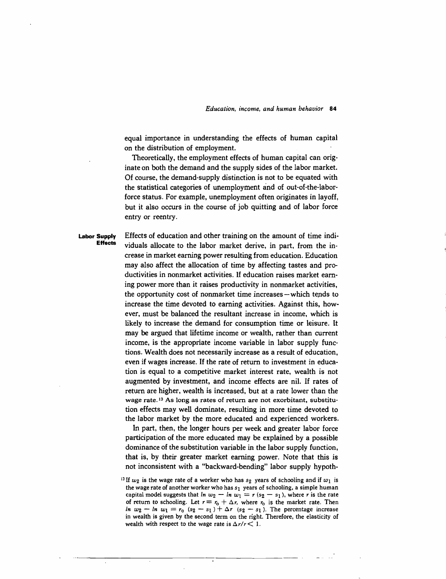equal importance in understanding the effects of human capital on the distribution of employment.

Theoretically, the employment effects of human capital can originate on both the demand and the supply sides of the labor market. Of course, the demand-supply distinction is not to be equated with the statistical categories of unemployment and of out-of-the-laborforce status. For example, unemployment often originates in layoff, but it also occurs in the course of job quitting and of labor force entry or reentry.

Labor Supply Effects of education and other training on the amount of time indi-<br>Effects ariduals allocate to the labor and the individuals of the delivery viduals allocate to the labor market derive, in part, from the increase in market earning power resulting from education. Education may also affect the allocation of time by affecting tastes and productivities in nonmarket activities. If education raises market earning power more than it raises productivity in nonmarket activities, the opportunity cost of nonmarket time increases — which tends to increase the time devoted to earning activities. Against this, however, must be balanced the resultant increase in income, which is likely to increase the demand for consumption time or leisure. It may be argued that lifetime income or wealth, rather than current income, is the appropriate income variable in labor supply functions. Wealth does not necessarily increase as a result of education,<br>even if wages increase. If the rate of return to investment in educa-<br>tion is equal to a competitive market interest rate, wealth is not<br>augmented by in even if wages increase. If the rate of return to investment in education is equal to a competitive market interest rate, wealth is not augmented by investment, and income effects are nil. If rates of return are higher, wealth is increased, but at a rate lower than the tion effects may well dominate, resulting in more time devoted to the labor market by the more educated and experienced workers.

> In part, then, the longer hours per week and greater labor force participation of the more educated may be explained by a possible dominance of the substitution variable in the labor supply function, that is, by their greater market earning power. Note that this is not inconsistent with a "backward-bending" labor supply hypoth-

<sup>&</sup>lt;sup>13</sup> If  $w_2$  is the wage rate of a worker who has  $s_2$  years of schooling and if  $w_1$  is the wage rate of another worker who has  $s_1$  years of schooling, a simple human capital model suggests that  $\ln w_2 - \ln w_1 = r \left( s_2 - s_1 \right)$ , where  $r$  is the rate of return to schooling. Let  $r = r_0 + \Delta r$ , where  $r_0$  is the market rate. Then In  $w_2 - \ln w_1 = r_0$  (s<sub>2</sub> – s<sub>1</sub>) +  $\Delta r$  (s<sub>2</sub> – s<sub>1</sub>). The percentage increase in wealth is given by the second term on the right. Therefore, the elasticity of wealth with respect to the wage rate is  $\Delta r/r < 1$ .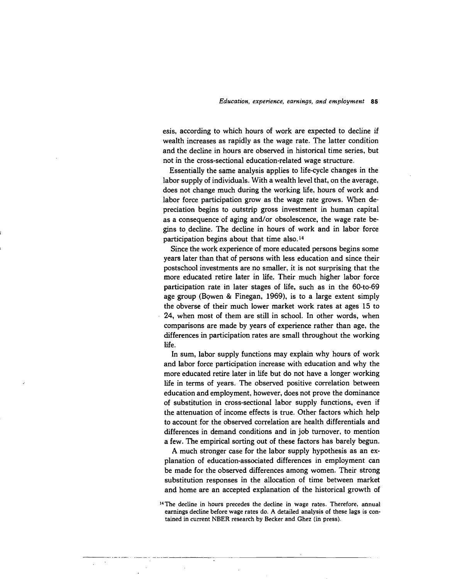esis, according to which hours of work are expected to decline if wealth increases as rapidly as the wage rate. The latter condition and the decline in hours are observed in historical time series, but not in the cross-sectional education-related wage structure.

Essentially the same analysis applies to life-cycle changes in the labor supply of individuals. With a wealth level that, on the average, does not change much during the working life, hours of work and labor force participation grow as the wage rate grows. When depreciation begins to outstrip gross investment in human capital as a consequence of aging and/or obsolescence, the wage rate begins to decline. The decline in hours of work and in labor force participation begins about that time also.<sup>14</sup>

Since the work experience of more educated persons begins some years later than that of persons with less education and since their postschool investments are no smaller, it is not surprising that the more educated retire later in life. Their much higher labor force participation rate in later stages of life, such as in the 60-to-69 age group (Bowen & Finegan, 1969), is to a large extent simply the obverse of their much lower market work rates at ages 15 to 24, when most of them are still in school. In other words, when comparisons are made by years of experience rather than age, the differences in participation rates are small throughout the working life.

In sum, labor supply functions may explain why hours of work and labor force participation increase with education and why the more educated retire later in life but do not have a longer working life in terms of years. The observed positive correlation between education and employment, however, does not prove the dominance of substitution in cross-sectional labor supply functions, even if the attenuation of income effects is true. Other factors which help to account for the observed correlation are health differentials and differences in demand conditions and in job turnover, to mention a few. The empirical sorting out of these factors has barely begun.

A much stronger case for the labor supply hypothesis as an explanation of education-associated differences in employment can be made for the observed differences among women. Their strong substitution responses in the allocation of time between market and home are an accepted explanation of the historical growth of

<sup>&#</sup>x27;4The decline in hours precedes the decline in wage rates. Therefore, annual earnings decline before wage rates do. A detailed analysis of these lags is contained in current NBER research by Becker and Ghez (in press).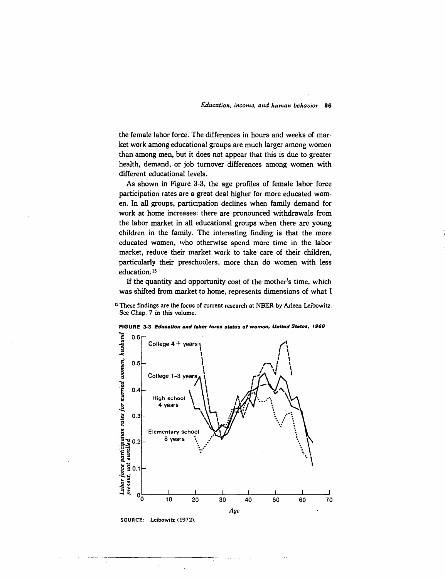the female labor force. The differences in hours and weeks of market work among educational groups are much larger among women than among men, but it does not appear that this is due to greater health, demand, or job turnover differences among women with different educational levels.

As shown in Figure 3-3, the age profiles of female labor force participation rates are a great deal higher for more educated women. In all groups, participation declines when family demand for work at home increases: there are pronounced withdrawals from the labor market in all educational groups when there arc young children in the family. The interesting finding is that the more educated women, who otherwise spend more time in the labor market, reduce their market. work to take care of their children, particularly their preschoolers, more than do women with less education:<sup>15</sup>

If the quantity and opportunity cost of the mother's time, which was shifted from market to home, represents dimensions of what I

<sup>15</sup> These findings are the focus of current research at NBER by Arleen Leibowitz. See Chap. 7 in this volume.



FIGURE 3-3 Education and labor force status of women, United States, 1960

SOURCE: Leibowitz (1972).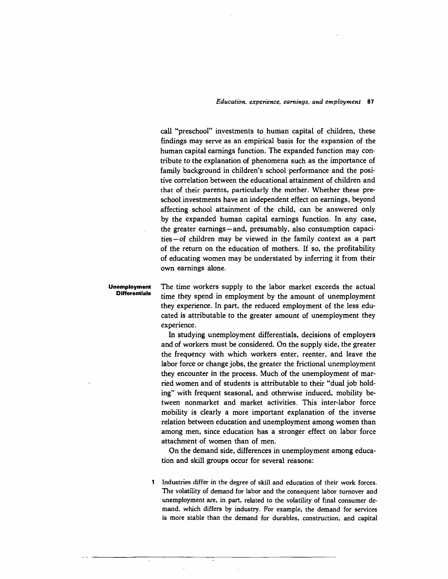call "preschool" investments to human capital of children, these findings may serve as an empirical basis for the expansion of the human capital earnings function. The expanded function may contribute to the explanation of phenomena such as the importance of family background in children's school performance and the positive correlation between the educational attainment of children and that of their parents, particularly the mother. Whether these preschool investments have an independent effect on earnings, beyond affecting school attainment of the child, can be answered only by the expanded human capital earnings function. In any case, the greater earnings—and, presumably, also consumption capacities —of children may be viewed in the family context as a part of the return on the education of mothers. If so, the profitability of educating women may be understated by inferring it from their own earnings alone.

Unemployment The time workers supply to the labor market exceeds the actual Differentials time they spend in employment by the amount of unemployment they experience. In part, the reduced employment of the less educated is attributable to the greater amount of unemployment they experience.

> In studying unemployment differentials, decisions of employers and of workers must be considered. On the supply side, the greater the frequency with which workers enter, reenter, and leave the labor force or change jobs, the greater the frictional unemployment they encounter in the process. Much of the unemployment of married women and of students is attributable to their "dual job holding" with frequent seasonal, and otherwise induced, mobility between nonmarket and market activities. This inter-labor force mobility is clearly a more important explanation of the inverse relation between education and unemployment among women than among men, since education has a stronger effect on labor force attachment of women than of men.

> On the demand side, differences in unemployment among education and skill groups occur for several reasons:

Industries differ in the degree of skill and education of their work forces. The volatility of demand for labor and the consequent labor turnover and unemployment are, in part, related to the volatility of final consumer demand, which differs by industry. For example, the demand for services is more stable than the demand for durables, construction, and capital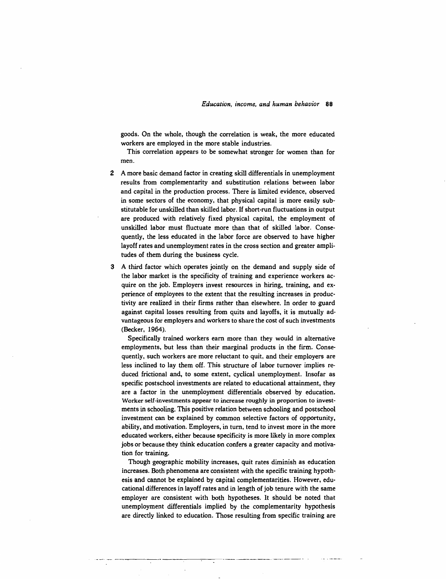goods. On the whole, though the correlation is weak, the more educated workers are employed in the more stable industries.

This correlation appears to be somewhat stronger for women than for men.

- 2 A more basic demand factor in creating skill differentials in unemployment results from complementarity and substitution relations between labor and capital in the production process. There is limited evidence, observed in some sectors of the economy, that physical capital is more easily substitutable for unskilled than skilled labor. If short-run fluctuations in output are produced with relatively fixed physical capital, the employment of unskilled labor must fluctuate more than that of skilled labor. Consequently, the less educated in the labor force are observed to have higher layoff rates and unemployment rates in the cross section and greater amplitudes of them during the business cycle.
- 3 A third factor which operates jointly on the demand and supply side of the labor market is the specificity of training and experience workers acquire on the job. Employers invest resources in hiring, training, and experience of employees to the extent that the resulting increases in productivity are realized in their firms rather than elsewhere. In order to guard against capital losses resulting from quits and layoffs, it is mutually advantageous for employers and workers to share the cost of such investments (Becker, 1964).

Specifically trained workers earn more than they would in alternative employments, but less than their marginal products in the firm. Consequently, such workers are more reluctant to quit, and their employers are less inclined to lay them off. This structure of labor turnover implies reduced frictional and, to some extent, cyclical unemployment. Insofar as specific postschool investments are related to educational attainment, they are a factor in the unemployment differentials observed by education. Worker self-investments appear to increase roughly in proportion to investments in schooling. This positive relation between schooling and postschool investment can be explained by common selective factors of opportunity, ability, and motivation. Employers, in turn, tend to invest more in the more educated workers, either because specificity is more likely in more complex jobs or because they think education confers a greater capacity and motivation for training.

Though geographic mobility increases, quit rates diminish as education increases. Both phenomena are consistent with the specific training hypothesis and cannot be explained by capital complementarities. However, educational differences in layoff rates and in length of job tenure with the same employer are consistent with both hypotheses. It should be noted that unemployment differentials implied by the complementarity hypothesis are directly linked to education. Those resulting from specific training are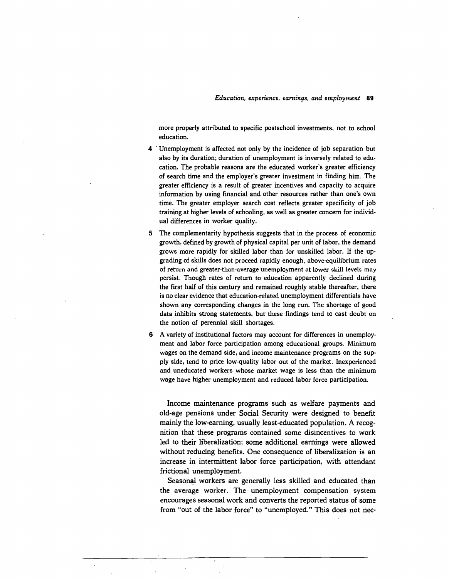more properly attributed to specific postschool investments, not to school education.

- 4 Unemployment is affected not only by the incidence of job separation but also by its duration; duration of unemployment is inversely related to education. The probable reasons are the educated worker's greater efficiency of search time and the employer's greater investment in finding him. The greater efficiency is a result of greater incentives and capacity to acquire information by using financial and other resources rather than one's own time. The greater employer search cost reflects greater specificity of job training at higher levels of schooling, as well as greater concern for individual differences in worker quality.
- 5 The complementarity hypothesis suggests that in the process of economic growth, defined by growth of physical capital per unit of labor, the demand grows more rapidly for skilled labor than for unskilled labor. If the upgrading of skills does not proceed rapidly enough, above-equilibrium rates of return and greater-than-average unemployment at lower skill levels may persist. Though rates of return to education apparently declined during the first half of this century and remained roughly stable thereafter, there is no clear evidence that education-related unemployment differentials have shown any corresponding changes in the long run. The shortage of good data inhibits strong statements, but these findings tend to cast doubt on the notion of perennial skill shortages.
- 6 A variety of institutional factors may account for differences in unemployment and labor force participation among educational groups. Minimum wages on the demand side, and income maintenance programs on the supply side, tend to price low-quality labor out of the market. Inexperienced and uneducated workers whose market wage is less than the minimum wage have higher unemployment and reduced labor force participation.

Income maintenance programs such as welfare payments and old-age pensions under Social Security were designed to benefit mainly the low-earning, usually least-educated population. A recognition that these programs contained some disincentives to work led to their liberalization; some additional earnings were allowed without reducing benefits. One consequence of liberalization is an increase in intermittent labor force participation, with attendant frictional unemployment.

Seasonal workers are generally less skilled and educated than the average worker. The unemployment compensation system encourages seasonal work and converts the reported status of some from "out of the labor force" to "unemployed." This does not nec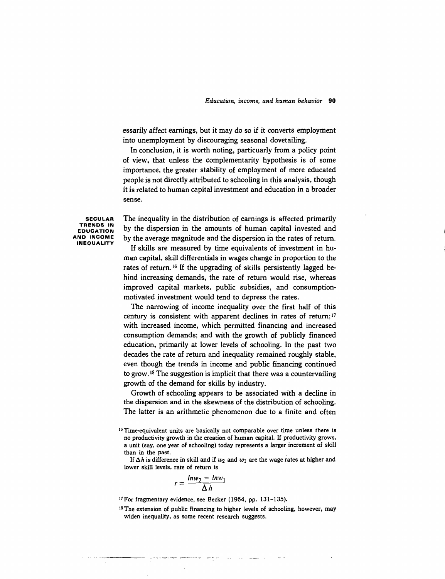essarily affect earnings, but it may do so if it converts employment into unemployment by discouraging seasonal dovetailing.

In conclusion, it is worth noting, particuarly from a policy point of view, that unless the complementarity hypothesis is of some importance, the greater stability of employment of more educated people is not directly attributed to schooling in this analysis, though it is related to human capital investment and education in a broader sense.

SECULAR The inequality in the distribution of earnings is affected primarily<br>TRENDS IN the distribution of the second of the second in the distribution of the second of the second in the second in the second in the second TRENDS IN by the dispersion in the amounts of human capital invested and EDUCATION  $\overline{B}$ <br>AND INGOME by the average magnitude and the dispersion in the rates of return AND INCOME by the average magnitude and the dispersion in the rates of return.

If skills are measured by time equivalents of investment in human capital, skill differentials in wages change in proportion to the rates of return.<sup>16</sup> If the upgrading of skills persistently lagged behind increasing demands, the rate of return would rise, whereas improved capital markets, public subsidies, and consumptionmotivated investment would tend to depress the rates.

The narrowing of income inequality over the first half of this century is consistent with apparent declines in rates of return;<sup>17</sup> with increased income, which permitted financing and increased consumption demands; and with the growth of publicly financed education, primarily at lower levels of schooling. In the past two decades the rate of return and inequality remained roughly stable, even though the trends in income and public financing continued to grow.18 The suggestion is implicit that there was a countervailing growth of the demand for skills by industry.

Growth of schooling appears to be associated with a decline in the dispersion and in the skewness of the distribution of schooling. The latter is an arithmetic phenomenon due to a finite and often

If  $\Delta h$  is difference in skill and if  $w_2$  and  $w_1$  are the wage rates at higher and lower skill levels, rate of return is

$$
r = \frac{lnw_2 - lnw_1}{\Delta h}
$$

<sup>17</sup> For fragmentary evidence, see Becker (1964, pp. 131-135).

 $18$  The extension of public financing to higher levels of schooling, however, may widen inequality, as some recent research suggests.

<sup>&</sup>lt;sup>16</sup> Time-equivalent units are basically not comparable over time unless there is no productivity growth in the creation of human capital. If productivity grows, a unit (say, one year of schooling) today represents a larger increment of skill than in the past.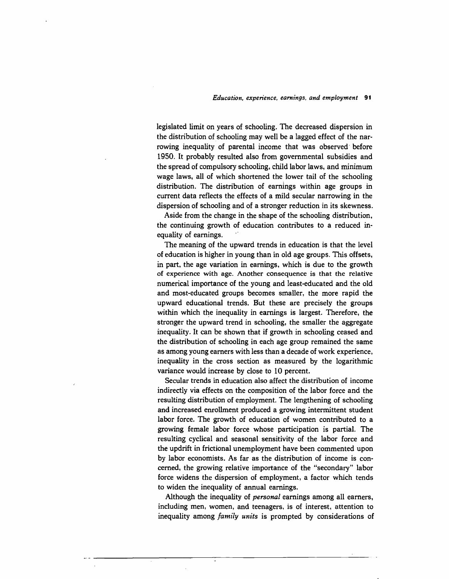legislated limit on years of schooling. The decreased dispersion in the distribution of schooling may well be a lagged effect of the narrowing inequality of parental income that was observed before 1950. It probably resulted also from governmental subsidies and the spread of compulsory schooling, child labor laws, and minimum wage laws, all of which shortened the lower tail of the schooling distribution. The distribution of earnings within age groups in current data reflects the effects of a mild secular narrowing in the dispersion of schooling and of a stronger reduction in its skewness.

Aside from the change in the shape of the schooling distribution, the continuing growth of education contributes to a reduced inequality of earnings.

The meaning of the upward trends in education is that the level of education is higher in young than in old age groups. This offsets, in part, the age variation in earnings, which is due to the growth of experience with age. Another consequence is that the relative numerical importance of the young and least-educated and the old and most-educated groups becomes smaller, the more rapid the upward educational trends. But these are precisely the groups within which the inequality in earnings is largest. Therefore, the stronger the upward trend in schooling, the smaller the aggregate inequality. It can be shown that if growth in schooling ceased and the distribution of schooling in each age group remained the same as among young earners with less than a decade of work experience, inequality in the cross section as measured by the logarithmic variance would increase by close to 10 percent.

Secular trends in education also affect the distribution of income indirectly via effects on the composition of the labor force and the resulting distribution of employment. The lengthening of schooling and increased enrollment produced a growing intermittent student labor force. The growth of education of women contributed to a growing female labor force whose participation is partial. The resulting cyclical and seasonal sensitivity of the labor force and the updrift in frictional unemployment have been commented upon by labor economists. As far as the distribution of income is concerned, the growing relative importance of the "secondary" labor force widens the dispersion of employment, a factor which tends to widen the inequality of annual earnings.

Although the inequality of *personal* earnings among all earners, including men, women, and teenagers, is of interest, attention to inequality among family units is prompted by considerations of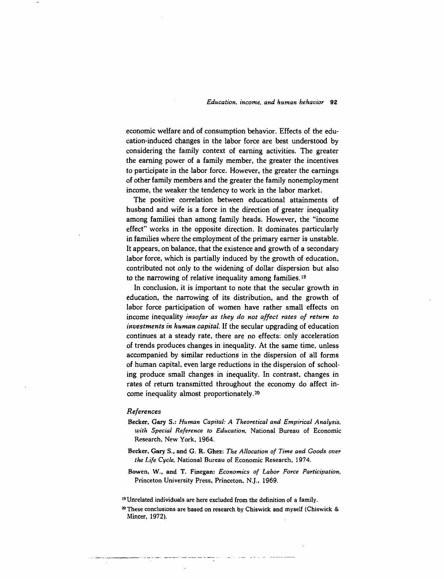economic welfare and of consumption behavior. Effects of the education-induced changes in the labor force are best understood by considering the family context of earning activities. The greater the earning power of a family member, the greater the incentives to participate in the labor force. However, the greater the earnings of other family members and the greater the family nonemployment income, the weaker the tendency to work in the labor market.

The positive correlation between educational attainments of husband and wife is a force in the direction of greater inequality among families than among family heads. However, the "income effect" works in the opposite direction. It dominates particularly in families where the employment of the primary earner is unstable. It appears, on balance, that the existence and growth of a secondary labor force, which is partially induced by the growth of education, contributed not only to the widening of dollar dispersion but also to the narrowing of relative inequality among families.'9

In conclusion, it is important to note that the secular growth in education, the narrowing of its distribution, and the growth of labor force participation of women have rather small effects on income inequality insofar as they do not affect rates of return to investments in human capital. If the secular upgrading of education continues at a steady rate, there are no effects: only acceleration of trends produces changes in inequality. At the same time, unless accompanied by similar reductions in the dispersion of all forms of human capital, even large reductions in the dispersion of schooling produce small changes in inequality. In contrast, changes in rates of return transmitted throughout the economy do affect income inequality almost proportionately.2°

## References

- Becker, Gary S.: Human Capital: A Theoretical and Empirical Analysis, with Special Reference to Education, National Bureau of Economic Research, New York, 1964.
- Becker, Gary S., and G. R. Ghez: The Allocation of Time and Goods over the Life Cycle, National Bureau of Economic Research, 1974.
- Bowen, W., and T. Finegan: Economics of Labor Force Participation, Princeton University Press, Princeton, N.J., 1969.

<sup>19</sup> Unrelated individuals are here excluded from the definition of a family.

20These conclusions are based on research by Chiswick and myself (Chiswick & Mincer, 1972).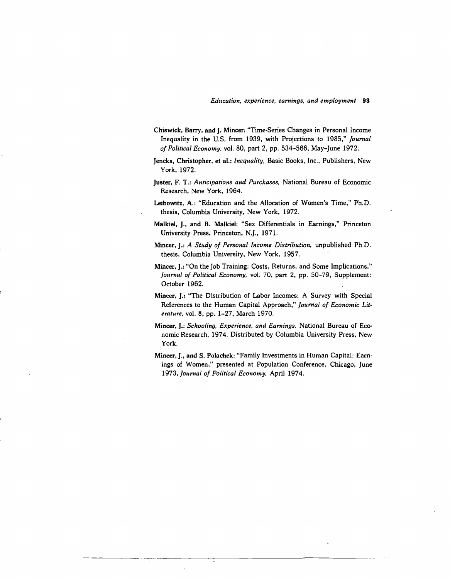- Chiswick, Barry, and J. Mincer: "Time-Series Changes in Personal Income Inequality in the U.S. from 1939, with Projections to 1985," Journal of Political Economy, vol. 80, part 2, pp. 534-566, May-June 1972.
- Jencks, Christopher, et al.: *Inequality*, Basic Books, Inc., Publishers, New York, 1972.
- Juster, F. T.: Anticipations and Purchases, National Bureau of Economic Research, New York, 1964.
- Leibowitz, A.: "Education and the Allocation of Women's Time," Ph.D. thesis, Columbia University, New York, 1972.
- Malkiel, J., and B. Malkiel: "Sex Differentials in Earnings," Princeton University Press, Princeton, N.J., 1971.
- Mincer, J.: A Study of Personal Income Distribution, unpublished Ph.D. thesis, Columbia University, New York, 1957.
- Mincer, J.: "On the Job Training: Costs, Returns, and Some Implications," Journal of Political Economy, vol. 70, part 2, pp. 50—79, Supplement: October 1962.
- Mincer, J.: "The Distribution of Labor Incomes: A Survey with Special References to the Human Capital Approach," Journal of Economic Literature, vol. 8, pp. 1—27, March 1970.
- Mincer, J.: Schooling, Experience, and Earnings, National Bureau of Economic Research, 1974. Distributed by Columbia University Press, New York.
- Mincer, J., and S. Polachek: "Family Investments in Human Capital: Earnings of Women," presented at Population Conference, Chicago, June 1973, Journal of Political Economy, April 1974.

 $\epsilon$